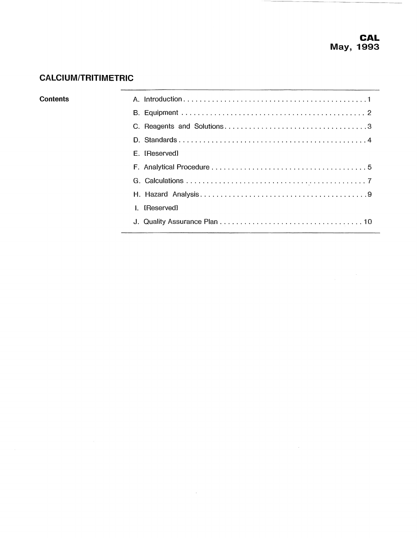$\bar{z}$ 

# **CALCIUM/TRITIMETRIC**

| Contents     |               |
|--------------|---------------|
|              |               |
|              |               |
|              |               |
|              | E. [Reserved] |
|              |               |
|              |               |
|              |               |
| $\mathbf{I}$ | [Reserved]    |
|              |               |
|              |               |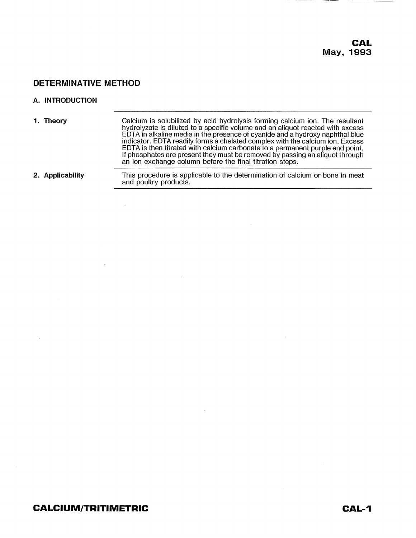$\overline{\phantom{a}}$ 

## **A. INTRODUCTION**

| 1. Theory        | Calcium is solubilized by acid hydrolysis forming calcium ion. The resultant<br>hydrolyzate is diluted to a specific volume and an aliquot reacted with excess<br>EDTA in alkaline media in the presence of cyanide and a hydroxy naphthol blue<br>indicator. EDTA readily forms a chelated complex with the calcium ion. Excess<br>EDTA is then titrated with calcium carbonate to a permanent purple end point.<br>If phosphates are present they must be removed by passing an aliquot through<br>an ion exchange column before the final titration steps. |
|------------------|---------------------------------------------------------------------------------------------------------------------------------------------------------------------------------------------------------------------------------------------------------------------------------------------------------------------------------------------------------------------------------------------------------------------------------------------------------------------------------------------------------------------------------------------------------------|
| 2. Applicability | This procedure is applicable to the determination of calcium or bone in meat<br>and poultry products.                                                                                                                                                                                                                                                                                                                                                                                                                                                         |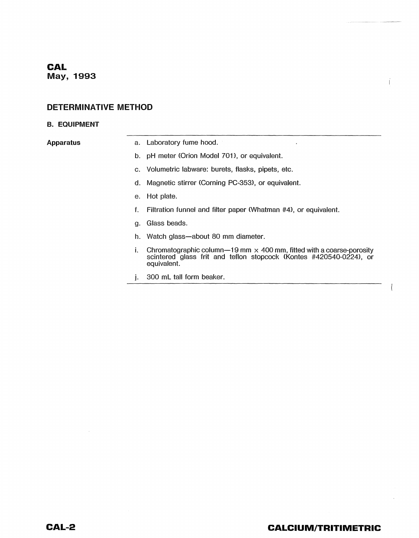# **CAL May, 1993**

## **DETERMINATIVE METHOD**

#### **B. EQUIPMENT**

- **Apparatus** a. Laboratory fume hood.
	- b. pH meter (Orion Model 701), or equivalent.
	- c. Volumetric labware: burets, flasks, pipets, etc.
	- d. Magnetic stirrer (Corning PC-353), or equivalent.
	- e. Hot plate.
	- f. Filtration funnel and filter paper (Whatman #4), or equivalent.
	- g. Glass beads.
	- h. Watch glass-about 80 mm diameter.
	- i. Chromatographic column-19 mm  $\times$  400 mm, fitted with a coarse-porosity scintered glass frit and teflon stopcock (Kontes #420540-0224), or equivalent.
	- j. 300 mL tall form beaker.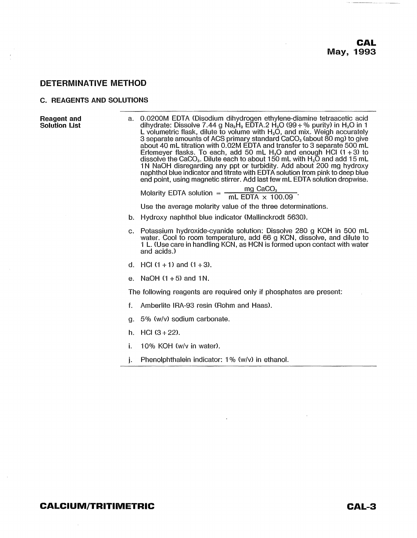#### C. REAGENTS AND SOLUTIONS

| Reagent and<br><b>Solution List</b> | a. | 0.0200M EDTA (Disodium dihydrogen ethylene-diamine tetraacetic acid<br>dihydrate: Dissolve 7.44 g Na <sub>2</sub> H <sub>2</sub> EDTA.2 H <sub>2</sub> O (99 + % purity) in H <sub>2</sub> O in 1<br>L volumetric flask, dilute to volume with $H_2O$ , and mix. Weigh accurately<br>3 separate amounts of ACS primary standard CaCO <sub>3</sub> (about 80 mg) to give<br>about 40 mL titration with 0.02M EDTA and transfer to 3 separate 500 mL<br>Erlemeyer flasks. To each, add 50 mL $H_2O$ and enough HCl (1 + 3) to<br>dissolve the CaCO <sub>3</sub> . Dilute each to about 150 mL with $H_2\overline{O}$ and add 15 mL<br>1N NaOH disregarding any ppt or turbidity. Add about 200 mg hydroxy<br>naphthol blue indicator and titrate with EDTA solution from pink to deep blue<br>end point, using magnetic stirrer. Add last few mL EDTA solution dropwise. |
|-------------------------------------|----|------------------------------------------------------------------------------------------------------------------------------------------------------------------------------------------------------------------------------------------------------------------------------------------------------------------------------------------------------------------------------------------------------------------------------------------------------------------------------------------------------------------------------------------------------------------------------------------------------------------------------------------------------------------------------------------------------------------------------------------------------------------------------------------------------------------------------------------------------------------------|
|                                     |    | Molarity EDTA solution = $\frac{mg \text{ CaCO}_3}{mL \text{ EDTA} \times 100.09}$ .                                                                                                                                                                                                                                                                                                                                                                                                                                                                                                                                                                                                                                                                                                                                                                                   |
|                                     |    | Use the average molarity value of the three determinations.                                                                                                                                                                                                                                                                                                                                                                                                                                                                                                                                                                                                                                                                                                                                                                                                            |
|                                     | b. | Hydroxy naphthol blue indicator (Mallinckrodt 5630).                                                                                                                                                                                                                                                                                                                                                                                                                                                                                                                                                                                                                                                                                                                                                                                                                   |
|                                     |    | c. Potassium hydroxide-cyanide solution: Dissolve 280 g KOH in 500 mL<br>water. Cool to room temperature, add 66 g KCN, dissolve, and dilute to<br>1 L. (Use care in handling KCN, as HCN is formed upon contact with water<br>and acids.)                                                                                                                                                                                                                                                                                                                                                                                                                                                                                                                                                                                                                             |
|                                     |    | d. HCl $(1 + 1)$ and $(1 + 3)$ .                                                                                                                                                                                                                                                                                                                                                                                                                                                                                                                                                                                                                                                                                                                                                                                                                                       |
|                                     | е. | NaOH $(1 + 5)$ and 1N.                                                                                                                                                                                                                                                                                                                                                                                                                                                                                                                                                                                                                                                                                                                                                                                                                                                 |
|                                     |    | The following reagents are required only if phosphates are present:                                                                                                                                                                                                                                                                                                                                                                                                                                                                                                                                                                                                                                                                                                                                                                                                    |
|                                     | f. | Amberlite IRA-93 resin (Rohm and Haas).                                                                                                                                                                                                                                                                                                                                                                                                                                                                                                                                                                                                                                                                                                                                                                                                                                |
|                                     | a. | 5% (w/v) sodium carbonate.                                                                                                                                                                                                                                                                                                                                                                                                                                                                                                                                                                                                                                                                                                                                                                                                                                             |
|                                     |    | h. HCl $(3+22)$ .                                                                                                                                                                                                                                                                                                                                                                                                                                                                                                                                                                                                                                                                                                                                                                                                                                                      |
|                                     | i. | 10% KOH (w/y in water).                                                                                                                                                                                                                                                                                                                                                                                                                                                                                                                                                                                                                                                                                                                                                                                                                                                |
|                                     | j. | Phenolphthalein indicator: 1% (w/v) in ethanol.                                                                                                                                                                                                                                                                                                                                                                                                                                                                                                                                                                                                                                                                                                                                                                                                                        |

 $\langle \rangle$ 

ò,

 $\sim 10^7$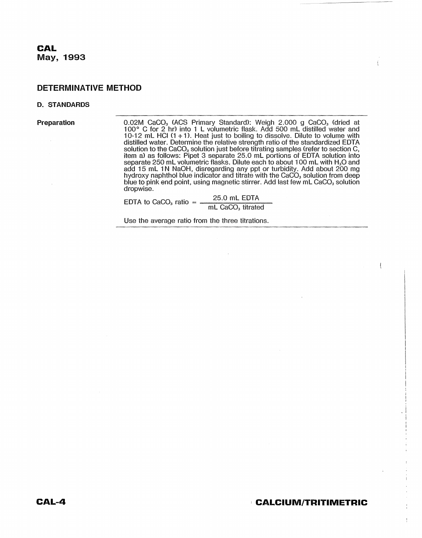#### **D. STANDARDS**

**Preparation 0.02M CaCO<sub>3</sub> (ACS Primary Standard): Weigh 2.000 g CaCO<sub>3</sub> (dried at** 100° C for 2 hr) into 1 L volumetric flask. Add 500 mL distilled water and 10·12 mL HCI (1 + 1). Heat just to boiling to dissolve. Dilute to volume with  $\mathcal{A}$ distilled water. Determine the relative strength ratio of the standardized EDTA solution to the CaCO<sub>3</sub> solution just before titrating samples (refer to section C, item a) as follows: Pipet 3 separate 25.0 mL portions of EDTA solution into separate 250 mL volumetric flasks. Dilute each to about 100 mL with H<sub>2</sub>O and add 15 mL 1N NaOH, disregarding any ppt or turbidity. Add about 200 mg hydroxy naphthol blue indicator and titrate with the CaCO $_{\rm 3}$  solution from deep blue to pink end point, using magnetic stirrer. Add last few mL CaCO $_{\scriptscriptstyle{3}}$  solution dropwise.

EDTA to CaCO<sub>3</sub> ratio =  $\frac{25.0 \text{ mL} \cdot \text{EDTA}}{25.0 \text{ mL} \cdot \text{L}}$ mL CaCO<sub>3</sub> titrated

Use the average ratio from the three titrations.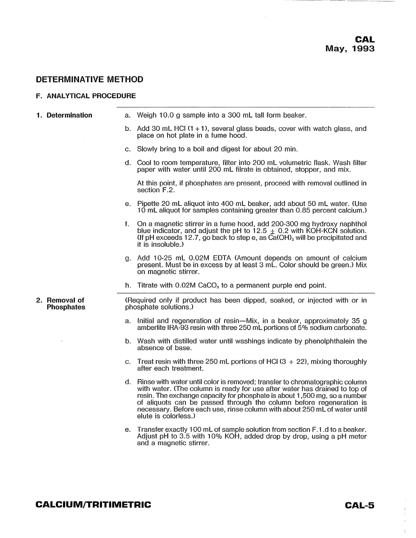#### F. ANALYTICAL PROCEDURE

| 1. Determination                   |    | a. Weigh 10.0 g sample into a 300 mL tall form beaker.                                                                                                                                                                                                                                                                                                                                                             |  |  |
|------------------------------------|----|--------------------------------------------------------------------------------------------------------------------------------------------------------------------------------------------------------------------------------------------------------------------------------------------------------------------------------------------------------------------------------------------------------------------|--|--|
|                                    |    | b. Add 30 mL HCl $(1 + 1)$ , several glass beads, cover with watch glass, and<br>place on hot plate in a fume hood.                                                                                                                                                                                                                                                                                                |  |  |
|                                    |    | c. Slowly bring to a boil and digest for about 20 min.                                                                                                                                                                                                                                                                                                                                                             |  |  |
|                                    |    | d. Cool to room temperature, filter into 200 mL volumetric flask. Wash filter<br>paper with water until 200 mL filrate is obtained, stopper, and mix.                                                                                                                                                                                                                                                              |  |  |
|                                    |    | At this point, if phosphates are present, proceed with removal outlined in<br>section F.2.                                                                                                                                                                                                                                                                                                                         |  |  |
|                                    |    | e. Pipette 20 mL aliquot into 400 mL beaker, add about 50 mL water. (Use<br>10 mL aliquot for samples containing greater than 0.85 percent calcium.)                                                                                                                                                                                                                                                               |  |  |
|                                    | f. | On a magnetic stirrer in a fume hood, add 200-300 mg hydroxy naphthol<br>blue indicator, and adjust the pH to $12.5 \pm 0.2$ with KOH-KCN solution.<br>(If pH exceeds 12.7, go back to step e, as $\overline{Ca(OH)}_2$ will be precipitated and<br>it is insoluble.)                                                                                                                                              |  |  |
|                                    |    | g. Add 10-25 mL 0.02M EDTA (Amount depends on amount of calcium<br>present. Must be in excess by at least 3 mL. Color should be green.) Mix<br>on magnetic stirrer.                                                                                                                                                                                                                                                |  |  |
|                                    |    |                                                                                                                                                                                                                                                                                                                                                                                                                    |  |  |
|                                    |    | h. Titrate with $0.02M$ CaCO <sub>3</sub> to a permanent purple end point.                                                                                                                                                                                                                                                                                                                                         |  |  |
| 2. Removal of<br><b>Phosphates</b> |    | (Required only if product has been dipped, soaked, or injected with or in<br>phosphate solutions.)                                                                                                                                                                                                                                                                                                                 |  |  |
|                                    |    | a. Initial and regeneration of resin—Mix, in a beaker, approximately 35 g<br>amberlite IRA-93 resin with three 250 mL portions of 5% sodium carbonate.                                                                                                                                                                                                                                                             |  |  |
|                                    |    | b. Wash with distilled water until washings indicate by phenolphthalein the<br>absence of base.                                                                                                                                                                                                                                                                                                                    |  |  |
|                                    |    | c. Treat resin with three 250 mL portions of HCl $(3 + 22)$ , mixing thoroughly<br>after each treatment.                                                                                                                                                                                                                                                                                                           |  |  |
|                                    | d. | Rinse with water until color is removed; transfer to chromatographic column<br>with water. (The column is ready for use after water has drained to top of<br>resin. The exchange capacity for phosphate is about 1,500 mg, so a number<br>of aliquots can be passed through the column before regeneration is<br>necessary. Before each use, rinse column with about 250 mL of water until<br>elute is colorless.) |  |  |

## **CALCIUM/TRITIMETRIC CAL-5**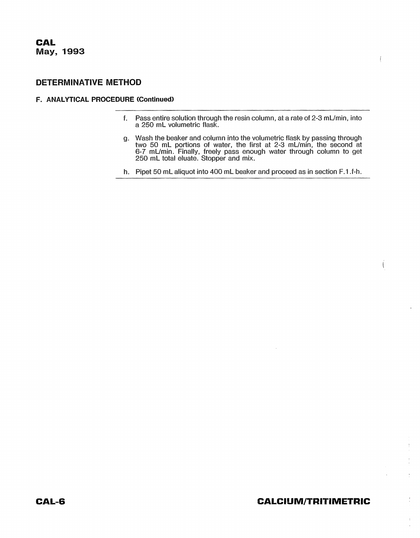#### **F. ANALYTICAL PROCEDURE (Continued)**

- f. Pass entire solution through the resin column, at a rate of  $2-3$  mL/min, into a 260 mL volumetric flask.
- g. Wash the beaker and column into the volumetric flask by passing through two 50 mL portions of water, the first at 2-3 mL/min, the second at 6-7 mUmin. Finally, freely pass enough water through column to get 260 mL total eluate. Stopper and mix.
- h. Pipet 50 mL aliquot into 400 mL beaker and proceed as in section F.1.f-h.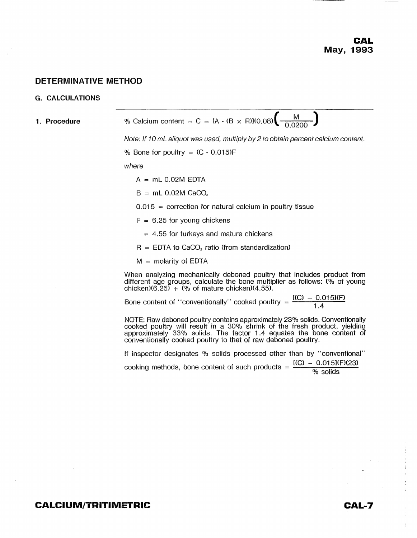#### G. **CALCULATIONS**

| 1. Procedure | % Calcium content = C = IA - (B × R)I(0.08) $\left(\frac{M}{-0.0200}\right)$                                                                                                                                                                                                                      |
|--------------|---------------------------------------------------------------------------------------------------------------------------------------------------------------------------------------------------------------------------------------------------------------------------------------------------|
|              | Note: If 10 mL aliquot was used, multiply by 2 to obtain percent calcium content.                                                                                                                                                                                                                 |
|              | % Bone for poultry = $(C - 0.015)F$                                                                                                                                                                                                                                                               |
|              | where                                                                                                                                                                                                                                                                                             |
|              | $A = mL 0.02M EDTA$                                                                                                                                                                                                                                                                               |
|              | $B = mL 0.02M$ CaCO <sub>3</sub>                                                                                                                                                                                                                                                                  |
|              | $0.015$ = correction for natural calcium in poultry tissue                                                                                                                                                                                                                                        |
|              | $F = 6.25$ for young chickens                                                                                                                                                                                                                                                                     |
|              | $=$ 4.55 for turkeys and mature chickens                                                                                                                                                                                                                                                          |
|              | $R = EDTA$ to CaCO <sub>3</sub> ratio (from standardization)                                                                                                                                                                                                                                      |
|              | $M =$ molarity of EDTA                                                                                                                                                                                                                                                                            |
|              | When analyzing mechanically deboned poultry that includes product from<br>different age groups, calculate the bone multiplier as follows: (% of young<br>chicken) $(6.25) + (%$ of mature chicken) $(4.55)$ .                                                                                     |
|              | Bone content of "conventionally" cooked poultry = $\frac{[(C) - 0.015](F)}{1.4}$                                                                                                                                                                                                                  |
|              | NOTE: Raw deboned poultry contains approximately 23% solids. Conventionally<br>cooked poultry will result in a 30% shrink of the fresh product, yielding<br>approximately 33% solids. The factor 1.4 equates the bone content of<br>conventionally cooked poultry to that of raw deboned poultry. |
|              | If inspector designates % solids processed other than by "conventional"                                                                                                                                                                                                                           |
|              | cooking methods, bone content of such products = $\frac{[(C) - 0.015](F)(23)}{96}$                                                                                                                                                                                                                |
|              |                                                                                                                                                                                                                                                                                                   |
|              |                                                                                                                                                                                                                                                                                                   |
|              |                                                                                                                                                                                                                                                                                                   |
|              |                                                                                                                                                                                                                                                                                                   |
|              |                                                                                                                                                                                                                                                                                                   |
|              |                                                                                                                                                                                                                                                                                                   |
|              |                                                                                                                                                                                                                                                                                                   |
|              |                                                                                                                                                                                                                                                                                                   |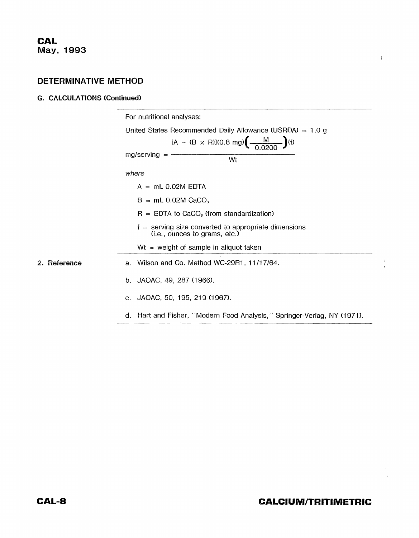### **G. CALCULATIONS (Continued)**

|              | For nutritional analyses:                                                                                                                        |
|--------------|--------------------------------------------------------------------------------------------------------------------------------------------------|
|              | United States Recommended Daily Allowance (USRDA) = $1.0 g$<br>IA – (B × R)I(0.8 mg) $\left(\frac{M}{0.0200}\right)$ (f)<br>$mg/serving =$<br>Wt |
|              | where                                                                                                                                            |
|              | $A = mL 0.02M EDTA$                                                                                                                              |
|              | $B = mL 0.02M$ CaCO <sub>3</sub>                                                                                                                 |
|              | $R = EDTA$ to CaCO <sub>3</sub> (from standardization)                                                                                           |
|              | $f =$ serving size converted to appropriate dimensions<br>(i.e., ounces to grams, etc.)                                                          |
|              | $Wt = weight of sample in aliquot taken$                                                                                                         |
| 2. Reference | Wilson and Co. Method WC-29R1, 11/17/64.<br>a.                                                                                                   |
|              | b. JAOAC, 49, 287 (1966).                                                                                                                        |
|              | c. JAOAC, 50, 195, 219 (1967).                                                                                                                   |
|              | d. Hart and Fisher, "Modern Food Analysis," Springer-Verlag, NY (1971).                                                                          |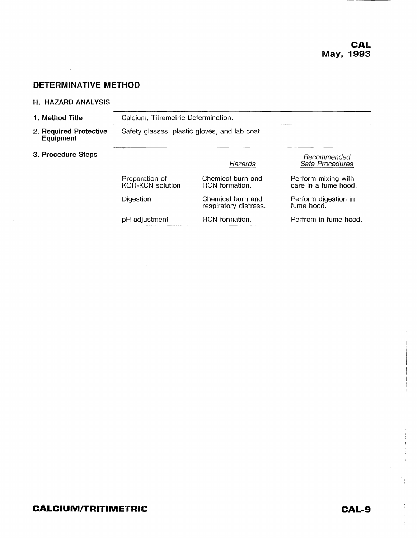#### **H, HAZARD ANALYSIS**

 $\mathcal{L}^{\text{max}}_{\text{max}}$ 

| 1. Method Title                            | Calcium, Titrametric Determination.                      |                                            |                                             |  |
|--------------------------------------------|----------------------------------------------------------|--------------------------------------------|---------------------------------------------|--|
| 2. Reguired Protective<br><b>Equipment</b> | Safety glasses, plastic gloves, and lab coat.            |                                            |                                             |  |
| 3. Procedure Steps                         |                                                          | Hazards                                    | Recommended<br>Safe Procedures              |  |
|                                            | Preparation of<br>KOH-KCN solution                       | Chemical burn and<br>HCN formation.        | Perform mixing with<br>care in a fume hood. |  |
|                                            | Digestion                                                | Chemical burn and<br>respiratory distress. | Perform digestion in<br>fume hood.          |  |
|                                            | HCN formation.<br>Perfrom in fume hood.<br>pH adjustment |                                            |                                             |  |
|                                            |                                                          | $\sim$                                     |                                             |  |

 $\sim$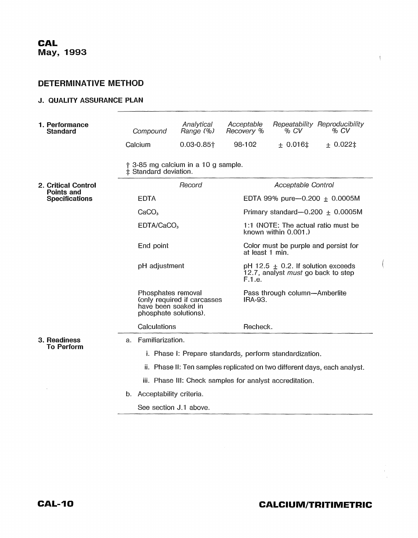#### J. QUALITY ASSURANCE PLAN

| 1. Performance<br><b>Standard</b>          | Compound                                                                  | Analytical<br>Range (%)                                                                           | Acceptable<br>Recovery % | % CV                                                                                          | Repeatability Reproducibility<br>% CV |  |
|--------------------------------------------|---------------------------------------------------------------------------|---------------------------------------------------------------------------------------------------|--------------------------|-----------------------------------------------------------------------------------------------|---------------------------------------|--|
|                                            | Calcium                                                                   | $0.03 - 0.85$ <sup>+</sup>                                                                        | 98-102                   | ± 0.016‡                                                                                      | ± 0.022‡                              |  |
|                                            | ‡ Standard deviation.                                                     | † 3-85 mg calcium in a 10 g sample.                                                               |                          |                                                                                               |                                       |  |
| 2. Critical Control                        |                                                                           | Record<br>Acceptable Control                                                                      |                          |                                                                                               |                                       |  |
| <b>Points and</b><br><b>Specifications</b> | <b>EDTA</b>                                                               | EDTA 99% pure-0.200 $\pm$ 0.0005M                                                                 |                          |                                                                                               |                                       |  |
|                                            | CaCO <sub>3</sub>                                                         | Primary standard-0.200 $\pm$ 0.0005M                                                              |                          |                                                                                               |                                       |  |
|                                            |                                                                           | EDTA/CaCO <sub>3</sub>                                                                            |                          | 1:1 (NOTE: The actual ratio must be<br>known within 0.001.)                                   |                                       |  |
|                                            | End point                                                                 |                                                                                                   |                          | Color must be purple and persist for<br>at least 1 min.                                       |                                       |  |
|                                            |                                                                           | pH adjustment                                                                                     |                          | pH 12.5 $\pm$ 0.2. If solution exceeds<br>12.7, analyst <i>must</i> go back to step<br>F.1.e. |                                       |  |
|                                            |                                                                           | Phosphates removal<br>(only required if carcasses<br>have been soaked in<br>phosphate solutions). |                          | Pass through column-Amberlite<br><b>IRA-93.</b>                                               |                                       |  |
|                                            | Calculations                                                              |                                                                                                   | Recheck.                 |                                                                                               |                                       |  |
| 3. Readiness<br><b>To Perform</b>          | Familiarization.<br>а.                                                    |                                                                                                   |                          |                                                                                               |                                       |  |
|                                            | i. Phase I: Prepare standards, perform standardization.                   |                                                                                                   |                          |                                                                                               |                                       |  |
|                                            | ii. Phase II: Ten samples replicated on two different days, each analyst. |                                                                                                   |                          |                                                                                               |                                       |  |
|                                            |                                                                           | iii. Phase III: Check samples for analyst accreditation.                                          |                          |                                                                                               |                                       |  |
|                                            | b.                                                                        | Acceptability criteria.                                                                           |                          |                                                                                               |                                       |  |
|                                            |                                                                           | See section J.1 above.                                                                            |                          |                                                                                               |                                       |  |